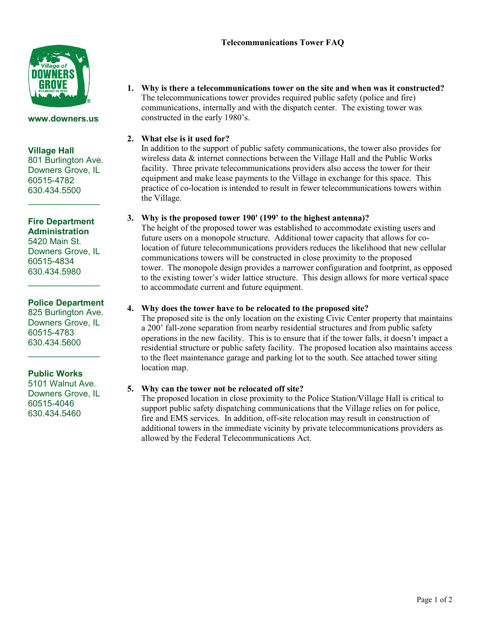Page 1 of 2



#### **www.downers.us**

### **Village Hall**

801 Burlington Ave. Downers Grove, IL 60515-4782 630.434.5500

 $\mathcal{L}=\mathcal{L}^{\mathcal{L}}$ 

# **Fire Department Administration**

5420 Main St. Downers Grove, IL 60515-4834 630.434.5980

# **Police Department**

 $\overline{\phantom{a}}$  , where  $\overline{\phantom{a}}$ 

825 Burlington Ave. Downers Grove, IL 60515-4783 630.434.5600

 $\mathcal{L}=\mathcal{L}^{\mathcal{L}}$ 

**Public Works**

5101 Walnut Ave. Downers Grove, IL 60515-4046 630.434.5460

**1. Why is there a telecommunications tower on the site and when was it constructed?**  The telecommunications tower provides required public safety (police and fire) communications, internally and with the dispatch center. The existing tower was constructed in the early 1980's.

# **2. What else is it used for?**

In addition to the support of public safety communications, the tower also provides for wireless data & internet connections between the Village Hall and the Public Works facility. Three private telecommunications providers also access the tower for their equipment and make lease payments to the Village in exchange for this space. This practice of co-location is intended to result in fewer telecommunications towers within the Village.

### **3. Why is the proposed tower 190' (199' to the highest antenna)?**

The height of the proposed tower was established to accommodate existing users and future users on a monopole structure. Additional tower capacity that allows for colocation of future telecommunications providers reduces the likelihood that new cellular communications towers will be constructed in close proximity to the proposed tower. The monopole design provides a narrower configuration and footprint, as opposed to the existing tower's wider lattice structure. This design allows for more vertical space to accommodate current and future equipment.

# **4. Why does the tower have to be relocated to the proposed site?**

The proposed site is the only location on the existing Civic Center property that maintains a 200' fall-zone separation from nearby residential structures and from public safety operations in the new facility. This is to ensure that if the tower falls, it doesn't impact a residential structure or public safety facility. The proposed location also maintains access to the fleet maintenance garage and parking lot to the south. See attached tower siting location map.

### **5. Why can the tower not be relocated off site?**

The proposed location in close proximity to the Police Station/Village Hall is critical to support public safety dispatching communications that the Village relies on for police, fire and EMS services. In addition, off-site relocation may result in construction of additional towers in the immediate vicinity by private telecommunications providers as allowed by the Federal Telecommunications Act.